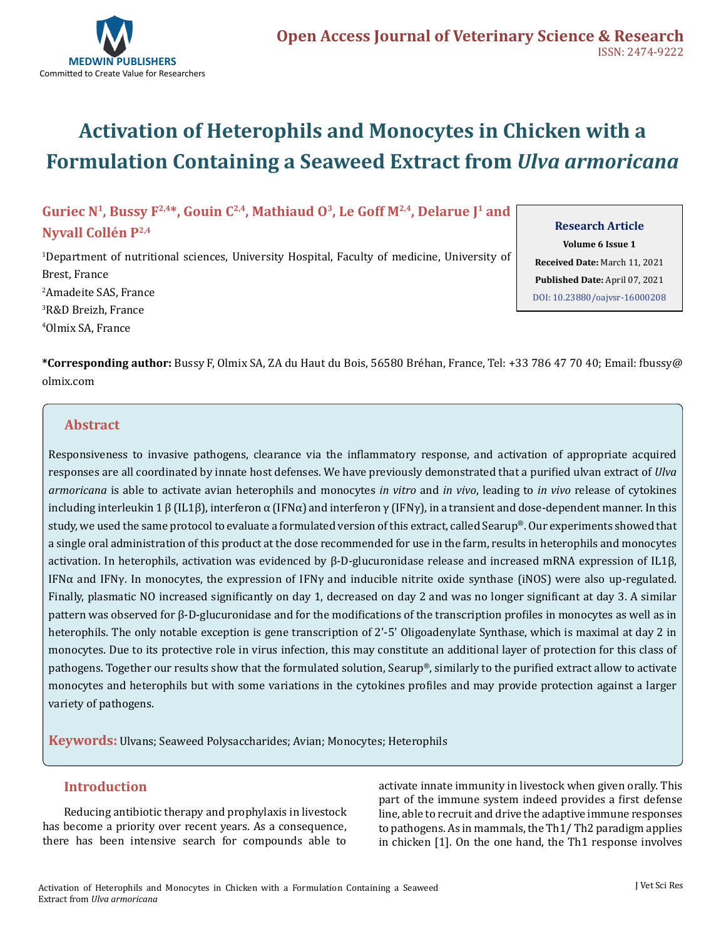

# **Activation of Heterophils and Monocytes in Chicken with a Formulation Containing a Seaweed Extract from** *Ulva armoricana*

# Guriec N<sup>1</sup>, Bussy F<sup>2,4\*</sup>, Gouin C<sup>2,4</sup>, Mathiaud O<sup>3</sup>, Le Goff M<sup>2,4</sup>, Delarue J<sup>1</sup> and **Nyvall Collén P2,4**

 Department of nutritional sciences, University Hospital, Faculty of medicine, University of Brest, France Amadeite SAS, France R&D Breizh, France Olmix SA, France

#### **Research Article**

**Volume 6 Issue 1 Received Date:** March 11, 2021 **Published Date:** April 07, 2021 [DOI: 10.23880/oajvsr-16000208](https://doi.org/10.23880/oajvsr-16000208)

**\*Corresponding author:** Bussy F, Olmix SA, ZA du Haut du Bois, 56580 Bréhan, France, Tel: +33 786 47 70 40; Email: fbussy@ olmix.com

# **Abstract**

Responsiveness to invasive pathogens, clearance via the inflammatory response, and activation of appropriate acquired responses are all coordinated by innate host defenses. We have previously demonstrated that a purified ulvan extract of *Ulva armoricana* is able to activate avian heterophils and monocytes *in vitro* and *in vivo*, leading to *in vivo* release of cytokines including interleukin 1 β (IL1β), interferon  $\alpha$  (IFN $\alpha$ ) and interferon  $\gamma$  (IFN $\gamma$ ), in a transient and dose-dependent manner. In this study, we used the same protocol to evaluate a formulated version of this extract, called Searup®. Our experiments showed that a single oral administration of this product at the dose recommended for use in the farm, results in heterophils and monocytes activation. In heterophils, activation was evidenced by β-D-glucuronidase release and increased mRNA expression of IL1β, IFNα and IFNγ. In monocytes, the expression of IFNγ and inducible nitrite oxide synthase (iNOS) were also up-regulated. Finally, plasmatic NO increased significantly on day 1, decreased on day 2 and was no longer significant at day 3. A similar pattern was observed for β-D-glucuronidase and for the modifications of the transcription profiles in monocytes as well as in heterophils. The only notable exception is gene transcription of 2'-5' Oligoadenylate Synthase, which is maximal at day 2 in monocytes. Due to its protective role in virus infection, this may constitute an additional layer of protection for this class of pathogens. Together our results show that the formulated solution, Searup®, similarly to the purified extract allow to activate monocytes and heterophils but with some variations in the cytokines profiles and may provide protection against a larger variety of pathogens.

**Keywords:** Ulvans; Seaweed Polysaccharides; Avian; Monocytes; Heterophils

## **Introduction**

Reducing antibiotic therapy and prophylaxis in livestock has become a priority over recent years. As a consequence, there has been intensive search for compounds able to activate innate immunity in livestock when given orally. This part of the immune system indeed provides a first defense line, able to recruit and drive the adaptive immune responses to pathogens. As in mammals, the Th1/ Th2 paradigm applies in chicken [1]. On the one hand, the Th1 response involves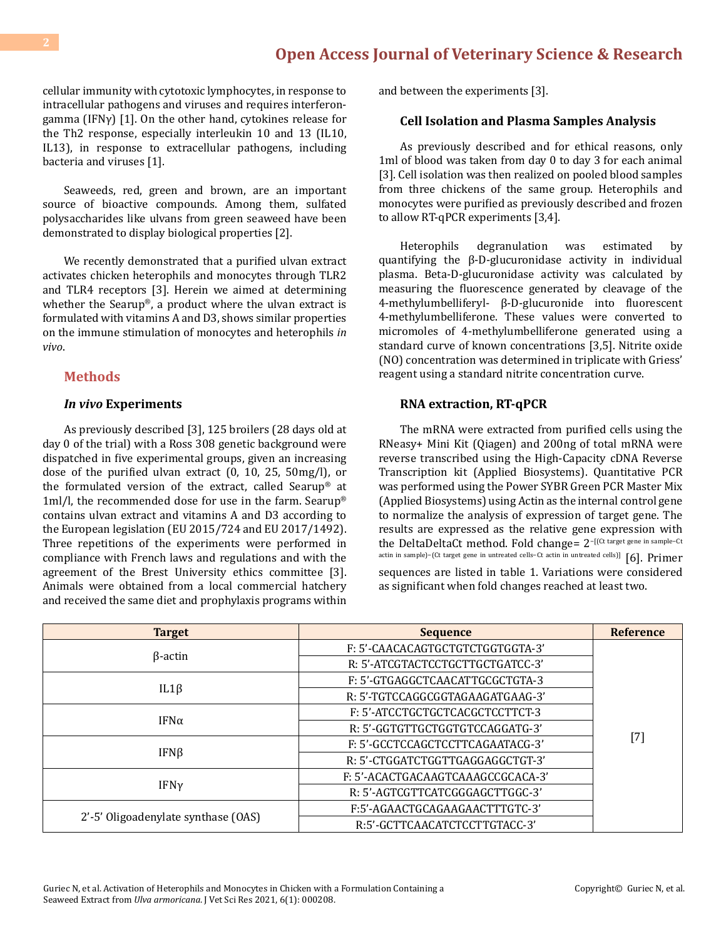cellular immunity with cytotoxic lymphocytes, in response to intracellular pathogens and viruses and requires interferongamma (IFNγ) [1]. On the other hand, cytokines release for the Th2 response, especially interleukin 10 and 13 (IL10, IL13), in response to extracellular pathogens, including bacteria and viruses [1].

Seaweeds, red, green and brown, are an important source of bioactive compounds. Among them, sulfated polysaccharides like ulvans from green seaweed have been demonstrated to display biological properties [2].

We recently demonstrated that a purified ulvan extract activates chicken heterophils and monocytes through TLR2 and TLR4 receptors [3]. Herein we aimed at determining whether the Searup®, a product where the ulvan extract is formulated with vitamins A and D3, shows similar properties on the immune stimulation of monocytes and heterophils *in vivo*.

### **Methods**

#### *In vivo* **Experiments**

As previously described [3], 125 broilers (28 days old at day 0 of the trial) with a Ross 308 genetic background were dispatched in five experimental groups, given an increasing dose of the purified ulvan extract (0, 10, 25, 50mg/l), or the formulated version of the extract, called Searup® at 1ml/l, the recommended dose for use in the farm. Searup® contains ulvan extract and vitamins A and D3 according to the European legislation (EU 2015/724 and EU 2017/1492). Three repetitions of the experiments were performed in compliance with French laws and regulations and with the agreement of the Brest University ethics committee [3]. Animals were obtained from a local commercial hatchery and received the same diet and prophylaxis programs within

and between the experiments [3].

#### **Cell Isolation and Plasma Samples Analysis**

As previously described and for ethical reasons, only 1ml of blood was taken from day 0 to day 3 for each animal [3]. Cell isolation was then realized on pooled blood samples from three chickens of the same group. Heterophils and monocytes were purified as previously described and frozen to allow RT-qPCR experiments [3,4].

Heterophils degranulation was estimated by quantifying the β-D-glucuronidase activity in individual plasma. Beta-D-glucuronidase activity was calculated by measuring the fluorescence generated by cleavage of the 4-methylumbelliferyl- β-D-glucuronide into fluorescent 4-methylumbelliferone. These values were converted to micromoles of 4-methylumbelliferone generated using a standard curve of known concentrations [3,5]. Nitrite oxide (NO) concentration was determined in triplicate with Griess' reagent using a standard nitrite concentration curve.

#### **RNA extraction, RT-qPCR**

The mRNA were extracted from purified cells using the RNeasy+ Mini Kit (Qiagen) and 200ng of total mRNA were reverse transcribed using the High-Capacity cDNA Reverse Transcription kit (Applied Biosystems). Quantitative PCR was performed using the Power SYBR Green PCR Master Mix (Applied Biosystems) using Actin as the internal control gene to normalize the analysis of expression of target gene. The results are expressed as the relative gene expression with the DeltaDeltaCt method. Fold change= 2−[(Ct target gene in sample−Ct actin in sample)−(Ct target gene in untreated cells−Ct actin in untreated cells)] [6]. Primer sequences are listed in table 1. Variations were considered as significant when fold changes reached at least two.

| <b>Target</b>                       | <b>Sequence</b>                   | <b>Reference</b>                                                                                                                                                                                           |
|-------------------------------------|-----------------------------------|------------------------------------------------------------------------------------------------------------------------------------------------------------------------------------------------------------|
| $\beta$ -actin                      | F: 5'-CAACACAGTGCTGTCTGGTGGTA-3'  | $[7] % \includegraphics[width=0.9\columnwidth]{figures/fig_10.pdf} \caption{The 3D (black) model for the estimators in the left and right. The left and right is the same as in the right.} \label{fig:2}$ |
|                                     | R: 5'-ATCGTACTCCTGCTTGCTGATCC-3'  |                                                                                                                                                                                                            |
| $IL1\beta$                          | F: 5'-GTGAGGCTCAACATTGCGCTGTA-3   |                                                                                                                                                                                                            |
|                                     | R: 5'-TGTCCAGGCGGTAGAAGATGAAG-3'  |                                                                                                                                                                                                            |
| IFN $\alpha$                        | F: 5'-ATCCTGCTGCTCACGCTCCTTCT-3   |                                                                                                                                                                                                            |
|                                     | R: 5'-GGTGTTGCTGGTGTCCAGGATG-3'   |                                                                                                                                                                                                            |
| $IFN\beta$                          | F: 5'-GCCTCCAGCTCCTTCAGAATACG-3'  |                                                                                                                                                                                                            |
|                                     | R: 5'-CTGGATCTGGTTGAGGAGGCTGT-3'  |                                                                                                                                                                                                            |
| IFN <sub>V</sub>                    | F: 5'-ACACTGACAAGTCAAAGCCGCACA-3' |                                                                                                                                                                                                            |
|                                     | R: 5'-AGTCGTTCATCGGGAGCTTGGC-3'   |                                                                                                                                                                                                            |
| 2'-5' Oligoadenylate synthase (OAS) | F:5'-AGAACTGCAGAAGAACTTTGTC-3'    |                                                                                                                                                                                                            |
|                                     | R:5'-GCTTCAACATCTCCTTGTACC-3'     |                                                                                                                                                                                                            |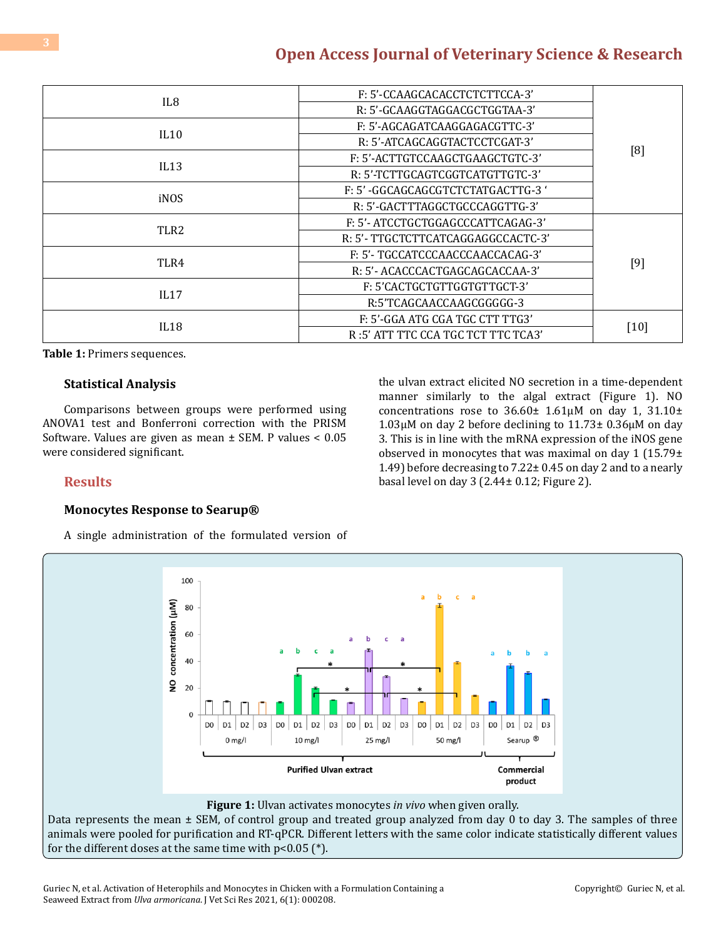|                  | F: 5'-CCAAGCACACCTCTCTTCCA-3'      | [8]  |
|------------------|------------------------------------|------|
| IL8              | R: 5'-GCAAGGTAGGACGCTGGTAA-3'      |      |
| IL10             | F: 5'-AGCAGATCAAGGAGACGTTC-3'      |      |
|                  | R: 5'-ATCAGCAGGTACTCCTCGAT-3'      |      |
| IL13             | F: 5'-ACTTGTCCAAGCTGAAGCTGTC-3'    |      |
|                  | R: 5'-TCTTGCAGTCGGTCATGTTGTC-3'    |      |
| iNOS             | F: 5' -GGCAGCAGCGTCTCTATGACTTG-3 ' |      |
|                  | R: 5'-GACTTTAGGCTGCCCAGGTTG-3'     |      |
| TLR <sub>2</sub> | F: 5'- ATCCTGCTGGAGCCCATTCAGAG-3'  |      |
|                  | R: 5'- TTGCTCTTCATCAGGAGGCCACTC-3' | [9]  |
| TLR4             | F: 5'- TGCCATCCCAACCCAACCACAG-3'   |      |
|                  | R: 5'- ACACCCACTGAGCAGCACCAA-3'    |      |
| IL17             | F: 5'CACTGCTGTTGGTGTTGCT-3'        |      |
|                  | R:5'TCAGCAACCAAGCGGGGG-3           |      |
| IL18             | F: 5'-GGA ATG CGA TGC CTT TTG3'    |      |
|                  | R:5' ATT TTC CCA TGC TCT TTC TCA3' | [10] |

**Table 1:** Primers sequences.

#### **Statistical Analysis**

Comparisons between groups were performed using ANOVA1 test and Bonferroni correction with the PRISM Software. Values are given as mean ± SEM. P values < 0.05 were considered significant.

the ulvan extract elicited NO secretion in a time-dependent manner similarly to the algal extract (Figure 1). NO concentrations rose to  $36.60 \pm 1.61 \mu M$  on day 1,  $31.10 \pm$ 1.03µM on day 2 before declining to 11.73± 0.36µM on day 3. This is in line with the mRNA expression of the iNOS gene observed in monocytes that was maximal on day 1 (15.79± 1.49) before decreasing to 7.22± 0.45 on day 2 and to a nearly basal level on day 3 (2.44± 0.12; Figure 2).

### **Results**

#### **Monocytes Response to Searup®**

A single administration of the formulated version of



### **Figure 1:** Ulvan activates monocytes *in vivo* when given orally.

Data represents the mean  $\pm$  SEM, of control group and treated group analyzed from day 0 to day 3. The samples of three animals were pooled for purification and RT-qPCR. Different letters with the same color indicate statistically different values for the different doses at the same time with  $p<0.05$  (\*).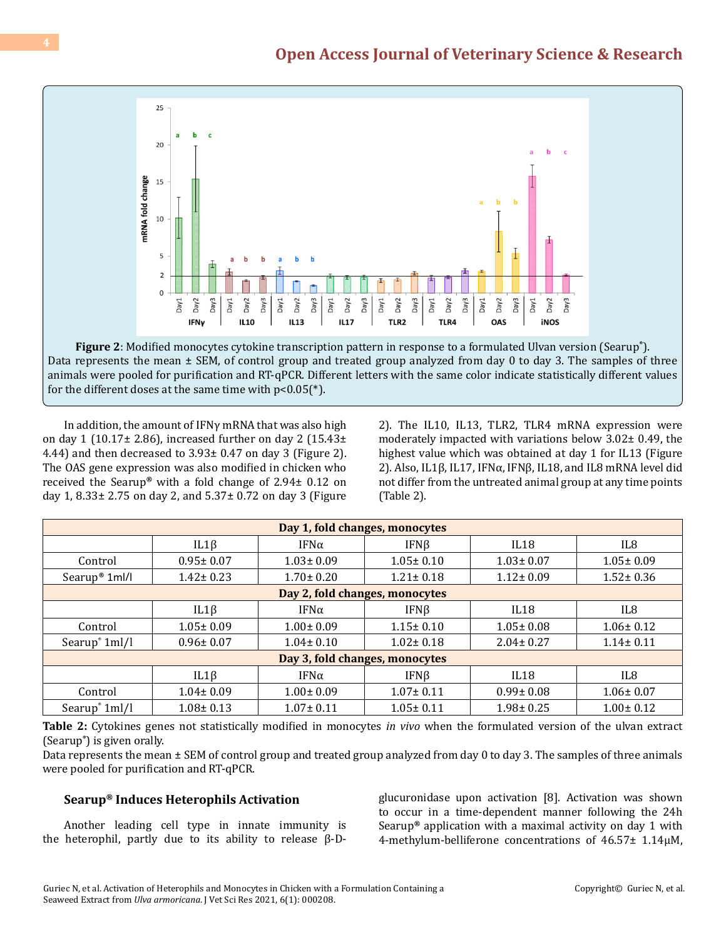

**Figure 2**: Modified monocytes cytokine transcription pattern in response to a formulated Ulvan version (Searup**®** ). Data represents the mean ± SEM, of control group and treated group analyzed from day 0 to day 3. The samples of three animals were pooled for purification and RT-qPCR. Different letters with the same color indicate statistically different values for the different doses at the same time with  $p<0.05$ <sup>(\*)</sup>.

In addition, the amount of IFNγ mRNA that was also high on day 1 (10.17 $\pm$  2.86), increased further on day 2 (15.43 $\pm$ 4.44) and then decreased to 3.93± 0.47 on day 3 (Figure 2). The OAS gene expression was also modified in chicken who received the Searup**®** with a fold change of 2.94± 0.12 on day 1, 8.33± 2.75 on day 2, and 5.37± 0.72 on day 3 (Figure 2). The IL10, IL13, TLR2, TLR4 mRNA expression were moderately impacted with variations below 3.02± 0.49, the highest value which was obtained at day 1 for IL13 (Figure 2). Also, IL1β, IL17, IFNα, IFNβ, IL18, and IL8 mRNA level did not differ from the untreated animal group at any time points (Table 2).

| Day 1, fold changes, monocytes |                 |                 |                 |                 |                 |  |
|--------------------------------|-----------------|-----------------|-----------------|-----------------|-----------------|--|
|                                | $IL1\beta$      | IFN $\alpha$    | $IFN\beta$      | IL18            | IL8             |  |
| Control                        | $0.95 \pm 0.07$ | $1.03 \pm 0.09$ | $1.05 \pm 0.10$ | $1.03 \pm 0.07$ | $1.05 \pm 0.09$ |  |
| Searup <sup>®</sup> 1ml/l      | $1.42 \pm 0.23$ | $1.70 \pm 0.20$ | $1.21 \pm 0.18$ | $1.12 \pm 0.09$ | $1.52 \pm 0.36$ |  |
| Day 2, fold changes, monocytes |                 |                 |                 |                 |                 |  |
|                                | $IL1\beta$      | IFN $\alpha$    | $IFN\beta$      | IL18            | IL8             |  |
| Control                        | $1.05 \pm 0.09$ | $1.00 \pm 0.09$ | $1.15 \pm 0.10$ | $1.05 \pm 0.08$ | $1.06 \pm 0.12$ |  |
| Searup <sup>®</sup> 1ml/l      | $0.96 \pm 0.07$ | $1.04 \pm 0.10$ | $1.02 \pm 0.18$ | $2.04 \pm 0.27$ | $1.14 \pm 0.11$ |  |
| Day 3, fold changes, monocytes |                 |                 |                 |                 |                 |  |
|                                | $IL1\beta$      | IFN $\alpha$    | IFN $\beta$     | IL18            | IL8             |  |
| Control                        | $1.04 \pm 0.09$ | $1.00 \pm 0.09$ | $1.07 \pm 0.11$ | $0.99 \pm 0.08$ | $1.06 \pm 0.07$ |  |
| Searup <sup>®</sup> 1ml/l      | $1.08 \pm 0.13$ | $1.07 \pm 0.11$ | $1.05 \pm 0.11$ | $1.98 \pm 0.25$ | $1.00 \pm 0.12$ |  |

**Table 2:** Cytokines genes not statistically modified in monocytes *in vivo* when the formulated version of the ulvan extract (Searup**®** ) is given orally.

Data represents the mean ± SEM of control group and treated group analyzed from day 0 to day 3. The samples of three animals were pooled for purification and RT-qPCR.

# **Searup® Induces Heterophils Activation**

Another leading cell type in innate immunity is the heterophil, partly due to its ability to release  $β$ -D-

glucuronidase upon activation [8]. Activation was shown to occur in a time-dependent manner following the 24h Searup**®** application with a maximal activity on day 1 with 4-methylum-belliferone concentrations of 46.57± 1.14µM,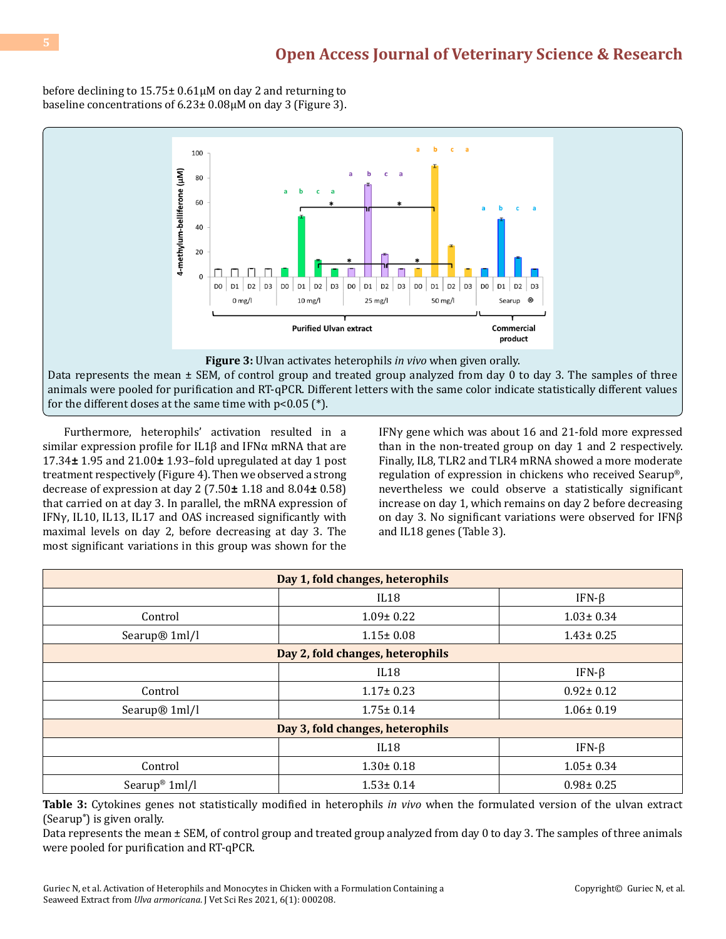before declining to 15.75± 0.61µM on day 2 and returning to baseline concentrations of 6.23± 0.08µM on day 3 (Figure 3).



animals were pooled for purification and RT-qPCR. Different letters with the same color indicate statistically different values for the different doses at the same time with  $p<0.05$  (\*).

Furthermore, heterophils' activation resulted in a similar expression profile for IL1β and IFNα mRNA that are 17.34**±** 1.95 and 21.00**±** 1.93–fold upregulated at day 1 post treatment respectively (Figure 4). Then we observed a strong decrease of expression at day 2 (7.50**±** 1.18 and 8.04**±** 0.58) that carried on at day 3. In parallel, the mRNA expression of IFNγ, IL10, IL13, IL17 and OAS increased significantly with maximal levels on day 2, before decreasing at day 3. The most significant variations in this group was shown for the

IFNγ gene which was about 16 and 21-fold more expressed than in the non-treated group on day 1 and 2 respectively. Finally, IL8, TLR2 and TLR4 mRNA showed a more moderate regulation of expression in chickens who received Searup®, nevertheless we could observe a statistically significant increase on day 1, which remains on day 2 before decreasing on day 3. No significant variations were observed for IFNβ and IL18 genes (Table 3).

| Day 1, fold changes, heterophils |                 |                 |  |  |  |
|----------------------------------|-----------------|-----------------|--|--|--|
|                                  | IL18            | IFN- $\beta$    |  |  |  |
| Control                          | $1.09 \pm 0.22$ | $1.03 \pm 0.34$ |  |  |  |
| Searup <sup>®</sup> 1ml/l        | $1.15 \pm 0.08$ | $1.43 \pm 0.25$ |  |  |  |
| Day 2, fold changes, heterophils |                 |                 |  |  |  |
|                                  | IL18            | IFN- $\beta$    |  |  |  |
| Control                          | $1.17 \pm 0.23$ | $0.92 \pm 0.12$ |  |  |  |
| Searup <sup>®</sup> 1ml/l        | $1.75 \pm 0.14$ | $1.06 \pm 0.19$ |  |  |  |
| Day 3, fold changes, heterophils |                 |                 |  |  |  |
|                                  | IL18            | IFN- $\beta$    |  |  |  |
| Control                          | $1.30 \pm 0.18$ | $1.05 \pm 0.34$ |  |  |  |
| Searup <sup>®</sup> 1ml/l        | $1.53 \pm 0.14$ | $0.98 \pm 0.25$ |  |  |  |

**Table 3:** Cytokines genes not statistically modified in heterophils *in vivo* when the formulated version of the ulvan extract (Searup**®** ) is given orally.

Data represents the mean ± SEM, of control group and treated group analyzed from day 0 to day 3. The samples of three animals were pooled for purification and RT-qPCR.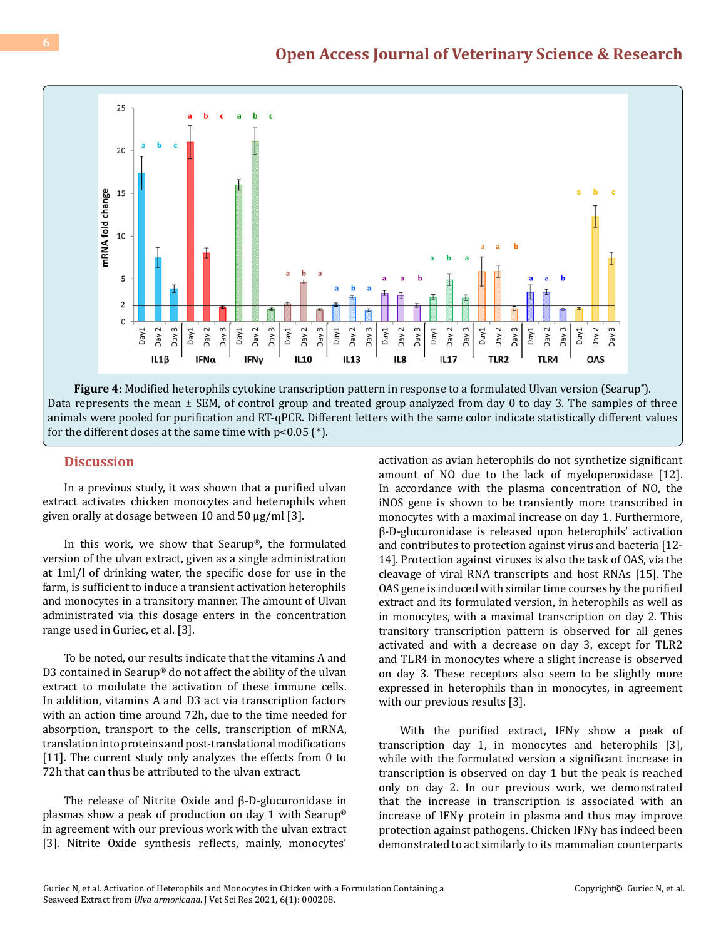

**Figure 4:** Modified heterophils cytokine transcription pattern in response to a formulated Ulvan version (Searup**®** ). Data represents the mean  $\pm$  SEM, of control group and treated group analyzed from day 0 to day 3. The samples of three animals were pooled for purification and RT-qPCR. Different letters with the same color indicate statistically different values for the different doses at the same time with  $p<0.05$  (\*).

# **Discussion**

In a previous study, it was shown that a purified ulvan extract activates chicken monocytes and heterophils when given orally at dosage between 10 and 50 µg/ml [3].

In this work, we show that Searup®, the formulated version of the ulvan extract, given as a single administration at 1ml/l of drinking water, the specific dose for use in the farm, is sufficient to induce a transient activation heterophils and monocytes in a transitory manner. The amount of Ulvan administrated via this dosage enters in the concentration range used in Guriec, et al. [3].

To be noted, our results indicate that the vitamins A and D3 contained in Searup® do not affect the ability of the ulvan extract to modulate the activation of these immune cells. In addition, vitamins A and D3 act via transcription factors with an action time around 72h, due to the time needed for absorption, transport to the cells, transcription of mRNA, translation into proteins and post-translational modifications [11]. The current study only analyzes the effects from 0 to 72h that can thus be attributed to the ulvan extract.

The release of Nitrite Oxide and β-D-glucuronidase in plasmas show a peak of production on day 1 with Searup® in agreement with our previous work with the ulvan extract [3]. Nitrite Oxide synthesis reflects, mainly, monocytes'

activation as avian heterophils do not synthetize significant amount of NO due to the lack of myeloperoxidase [12]. In accordance with the plasma concentration of NO, the iNOS gene is shown to be transiently more transcribed in monocytes with a maximal increase on day 1. Furthermore, β-D-glucuronidase is released upon heterophils' activation and contributes to protection against virus and bacteria [12- 14]. Protection against viruses is also the task of OAS, via the cleavage of viral RNA transcripts and host RNAs [15]. The OAS gene is induced with similar time courses by the purified extract and its formulated version, in heterophils as well as in monocytes, with a maximal transcription on day 2. This transitory transcription pattern is observed for all genes activated and with a decrease on day 3, except for TLR2 and TLR4 in monocytes where a slight increase is observed on day 3. These receptors also seem to be slightly more expressed in heterophils than in monocytes, in agreement with our previous results [3].

With the purified extract, IFNγ show a peak of transcription day 1, in monocytes and heterophils [3], while with the formulated version a significant increase in transcription is observed on day 1 but the peak is reached only on day 2. In our previous work, we demonstrated that the increase in transcription is associated with an increase of IFNγ protein in plasma and thus may improve protection against pathogens. Chicken IFNγ has indeed been demonstrated to act similarly to its mammalian counterparts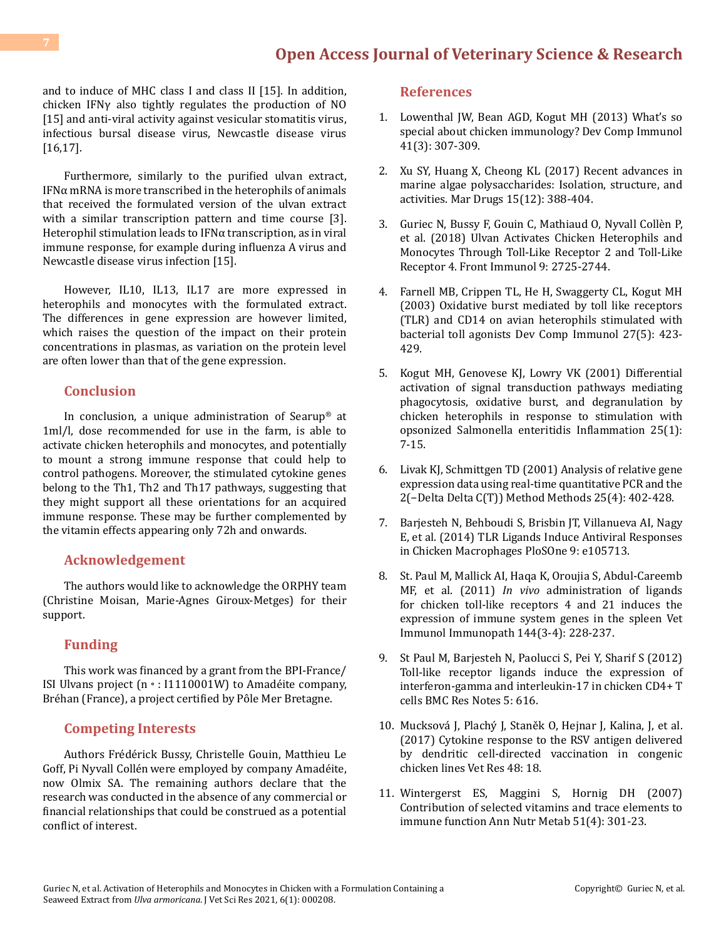and to induce of MHC class I and class II [15]. In addition, chicken IFNγ also tightly regulates the production of NO [15] and anti-viral activity against vesicular stomatitis virus, infectious bursal disease virus, Newcastle disease virus [16,17].

Furthermore, similarly to the purified ulvan extract, IFNα mRNA is more transcribed in the heterophils of animals that received the formulated version of the ulvan extract with a similar transcription pattern and time course [3]. Heterophil stimulation leads to IFNα transcription, as in viral immune response, for example during influenza A virus and Newcastle disease virus infection [15].

However, IL10, IL13, IL17 are more expressed in heterophils and monocytes with the formulated extract. The differences in gene expression are however limited, which raises the question of the impact on their protein concentrations in plasmas, as variation on the protein level are often lower than that of the gene expression.

## **Conclusion**

In conclusion, a unique administration of Searup® at 1ml/l, dose recommended for use in the farm, is able to activate chicken heterophils and monocytes, and potentially to mount a strong immune response that could help to control pathogens. Moreover, the stimulated cytokine genes belong to the Th1, Th2 and Th17 pathways, suggesting that they might support all these orientations for an acquired immune response. These may be further complemented by the vitamin effects appearing only 72h and onwards.

### **Acknowledgement**

The authors would like to acknowledge the ORPHY team (Christine Moisan, Marie-Agnes Giroux-Metges) for their support.

### **Funding**

This work was financed by a grant from the BPI-France/ ISI Ulvans project (n◦: I1110001W) to Amadéite company, Bréhan (France), a project certified by Pôle Mer Bretagne.

#### **Competing Interests**

Authors Frédérick Bussy, Christelle Gouin, Matthieu Le Goff, Pi Nyvall Collénwere employed by company Amadéite, now Olmix SA. The remaining authors declare that the research was conducted in the absence of any commercial or financial relationships that could be construed as a potential conflict of interest.

#### **References**

- 1. [Lowenthal JW, Bean AGD, Kogut MH \(2013\) What's so](https://pubmed.ncbi.nlm.nih.gov/23891876/) [special about chicken immunology? Dev Comp Immunol](https://pubmed.ncbi.nlm.nih.gov/23891876/)  [41\(3\): 307-309.](https://pubmed.ncbi.nlm.nih.gov/23891876/)
- 2. [Xu SY, Huang X, Cheong KL \(2017\) Recent advances in](https://pubmed.ncbi.nlm.nih.gov/29236064/) [marine algae polysaccharides: Isolation, structure, and](https://pubmed.ncbi.nlm.nih.gov/29236064/)  [activities. Mar Drugs 15\(12\): 388-404.](https://pubmed.ncbi.nlm.nih.gov/29236064/)
- 3. [Guriec N, Bussy F, Gouin C, Mathiaud O, Nyvall Collèn P,](https://pubmed.ncbi.nlm.nih.gov/30532755/) [et al. \(2018\) Ulvan Activates Chicken Heterophils and](https://pubmed.ncbi.nlm.nih.gov/30532755/)  [Monocytes Through Toll-Like Receptor 2 and Toll-Like](https://pubmed.ncbi.nlm.nih.gov/30532755/) [Receptor 4. Front Immunol 9: 2725-2744.](https://pubmed.ncbi.nlm.nih.gov/30532755/)
- 4. [Farnell MB, Crippen TL, He H, Swaggerty CL, Kogut MH](https://pubmed.ncbi.nlm.nih.gov/12631524/) [\(2003\) Oxidative burst mediated by toll like receptors](https://pubmed.ncbi.nlm.nih.gov/12631524/) [\(TLR\) and CD14 on avian heterophils stimulated with](https://pubmed.ncbi.nlm.nih.gov/12631524/)  [bacterial toll agonists Dev Comp Immunol 27\(5\): 423-](https://pubmed.ncbi.nlm.nih.gov/12631524/) [429.](https://pubmed.ncbi.nlm.nih.gov/12631524/)
- 5. [Kogut MH, Genovese KJ, Lowry VK \(2001\) Differential](https://pubmed.ncbi.nlm.nih.gov/11293667/)  [activation of signal transduction pathways mediating](https://pubmed.ncbi.nlm.nih.gov/11293667/)  [phagocytosis, oxidative burst, and degranulation by](https://pubmed.ncbi.nlm.nih.gov/11293667/) [chicken heterophils in response to stimulation with](https://pubmed.ncbi.nlm.nih.gov/11293667/) [opsonized Salmonella enteritidis Inflammation 25\(1\):](https://pubmed.ncbi.nlm.nih.gov/11293667/) [7-15.](https://pubmed.ncbi.nlm.nih.gov/11293667/)
- 6. [Livak KJ, Schmittgen TD \(2001\) Analysis of relative gene](https://pubmed.ncbi.nlm.nih.gov/11846609/) [expression data using real-time quantitative PCR and the](https://pubmed.ncbi.nlm.nih.gov/11846609/) [2\(−Delta Delta C\(T\)\) Method Methods 25\(4\): 402-428.](https://pubmed.ncbi.nlm.nih.gov/11846609/)
- 7. [Barjesteh N, Behboudi S, Brisbin JT, Villanueva AI, Nagy](https://pubmed.ncbi.nlm.nih.gov/25165812/) [E, et al. \(2014\) TLR Ligands Induce Antiviral Responses](https://pubmed.ncbi.nlm.nih.gov/25165812/) [in Chicken Macrophages](https://pubmed.ncbi.nlm.nih.gov/25165812/) PloSOne 9: e105713.
- 8. [St. Paul M, Mallick AI, Haqa K, Oroujia S, Abdul-Careemb](https://pubmed.ncbi.nlm.nih.gov/22019071/) MF, et al. (2011) *In vivo* [administration of ligands](https://pubmed.ncbi.nlm.nih.gov/22019071/) [for chicken toll-like receptors 4 and 21 induces the](https://pubmed.ncbi.nlm.nih.gov/22019071/) [expression of immune system genes in the spleen Vet](https://pubmed.ncbi.nlm.nih.gov/22019071/)  [Immunol Immunopath 144\(3-4\): 228-237.](https://pubmed.ncbi.nlm.nih.gov/22019071/)
- 9. [St Paul M, Barjesteh N, Paolucci S, Pei Y, Sharif S \(2012\)](https://www.ncbi.nlm.nih.gov/pmc/articles/PMC3508843/) [Toll-like receptor ligands induce the expression of](https://www.ncbi.nlm.nih.gov/pmc/articles/PMC3508843/) [interferon-gamma and interleukin-17 in chicken CD4+ T](https://www.ncbi.nlm.nih.gov/pmc/articles/PMC3508843/) [cells BMC Res](https://www.ncbi.nlm.nih.gov/pmc/articles/PMC3508843/) Notes 5: 616.
- 10. [Mucksová J, Plachý J, Staněk O, Hejnar J, Kalina, J, et al.](https://veterinaryresearch.biomedcentral.com/articles/10.1186/s13567-017-0423-8)  [\(2017\) Cytokine response to the RSV antigen delivered](https://veterinaryresearch.biomedcentral.com/articles/10.1186/s13567-017-0423-8) [by dendritic cell-directed vaccination in congenic](https://veterinaryresearch.biomedcentral.com/articles/10.1186/s13567-017-0423-8) [chicken lines Vet Res 48: 18.](https://veterinaryresearch.biomedcentral.com/articles/10.1186/s13567-017-0423-8)
- 11. [Wintergerst ES, Maggini S, Hornig DH \(2007\)](https://pubmed.ncbi.nlm.nih.gov/17726308/) [Contribution of selected vitamins and trace elements to](https://pubmed.ncbi.nlm.nih.gov/17726308/)  [immune function Ann Nutr Metab 51\(4\): 301-23.](https://pubmed.ncbi.nlm.nih.gov/17726308/)